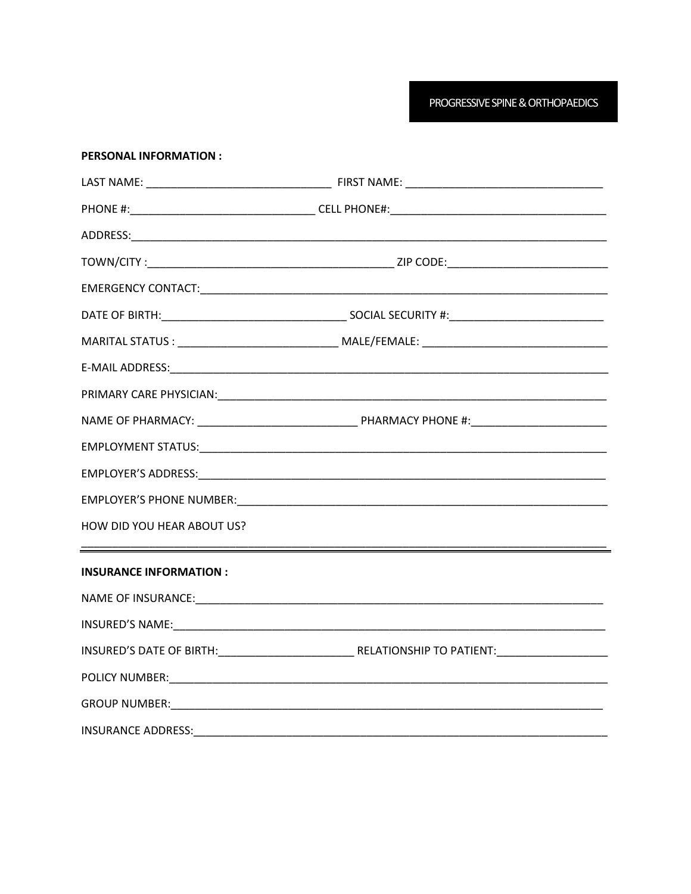PROGRESSIVE SPINE & ORTHOPAEDICS

| <b>PERSONAL INFORMATION:</b>  |                                                 |  |  |
|-------------------------------|-------------------------------------------------|--|--|
|                               |                                                 |  |  |
|                               |                                                 |  |  |
|                               |                                                 |  |  |
|                               |                                                 |  |  |
|                               |                                                 |  |  |
|                               |                                                 |  |  |
|                               |                                                 |  |  |
|                               |                                                 |  |  |
|                               | PRIMARY CARE PHYSICIAN: PRIMARY CARE PHYSICIAN: |  |  |
|                               |                                                 |  |  |
|                               |                                                 |  |  |
|                               |                                                 |  |  |
|                               |                                                 |  |  |
| HOW DID YOU HEAR ABOUT US?    |                                                 |  |  |
| <b>INSURANCE INFORMATION:</b> |                                                 |  |  |
|                               |                                                 |  |  |
|                               |                                                 |  |  |
|                               |                                                 |  |  |
|                               |                                                 |  |  |
|                               |                                                 |  |  |
|                               |                                                 |  |  |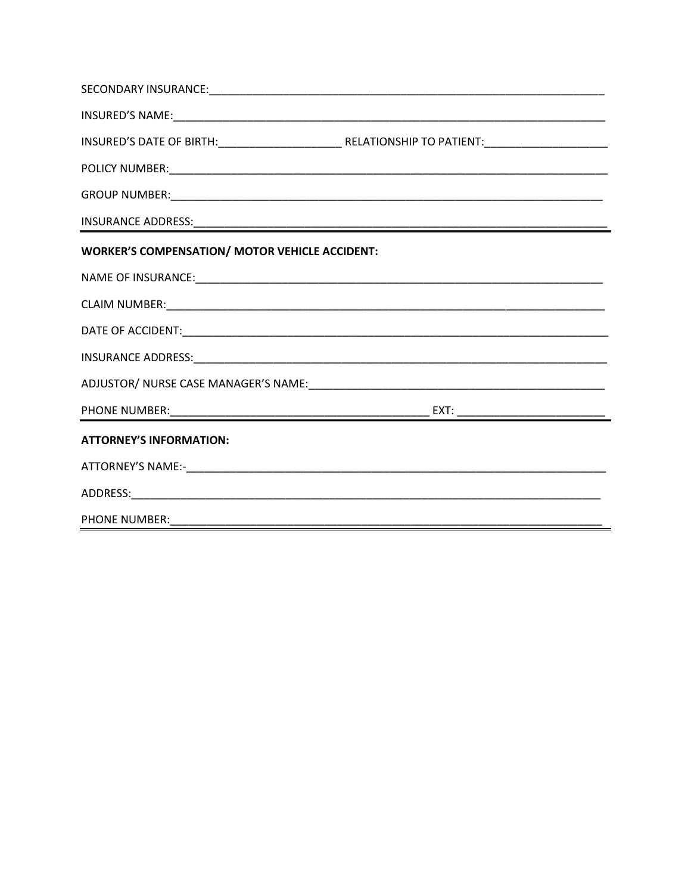| <b>WORKER'S COMPENSATION/ MOTOR VEHICLE ACCIDENT:</b> |  |
|-------------------------------------------------------|--|
|                                                       |  |
|                                                       |  |
|                                                       |  |
|                                                       |  |
|                                                       |  |
|                                                       |  |
| <b>ATTORNEY'S INFORMATION:</b>                        |  |
|                                                       |  |
|                                                       |  |
| PHONE NUMBER:                                         |  |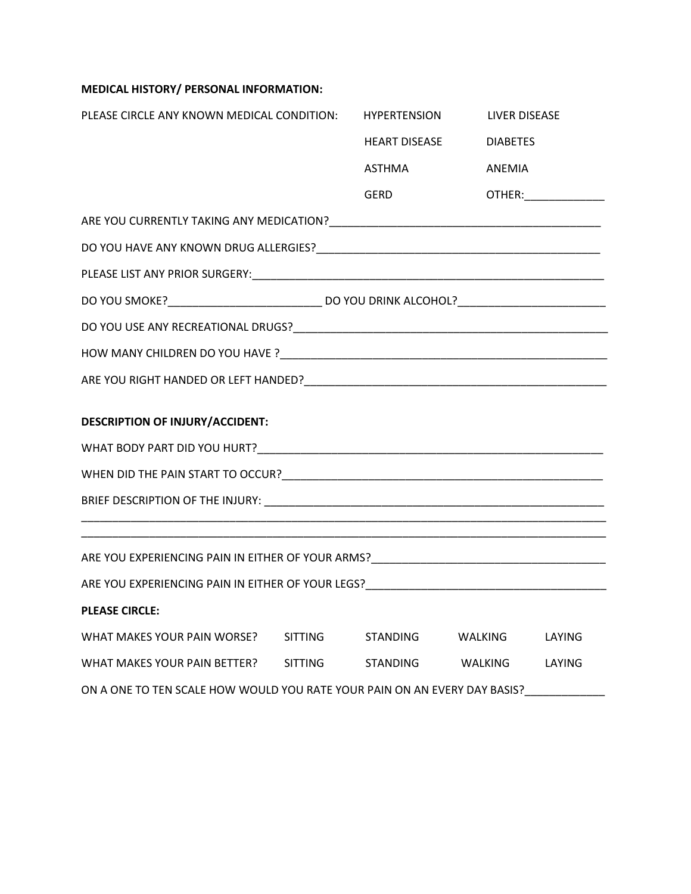## **MEDICAL HISTORY/ PERSONAL INFORMATION:**

| PLEASE CIRCLE ANY KNOWN MEDICAL CONDITION:                                        |  | <b>HYPERTENSION</b>  |                 | <b>LIVER DISEASE</b>           |  |  |  |  |
|-----------------------------------------------------------------------------------|--|----------------------|-----------------|--------------------------------|--|--|--|--|
|                                                                                   |  | <b>HEART DISEASE</b> | <b>DIABETES</b> |                                |  |  |  |  |
|                                                                                   |  | <b>ASTHMA</b>        | ANEMIA          |                                |  |  |  |  |
|                                                                                   |  | <b>GERD</b>          |                 | <b>OTHER:</b> ________________ |  |  |  |  |
|                                                                                   |  |                      |                 |                                |  |  |  |  |
|                                                                                   |  |                      |                 |                                |  |  |  |  |
|                                                                                   |  |                      |                 |                                |  |  |  |  |
|                                                                                   |  |                      |                 |                                |  |  |  |  |
|                                                                                   |  |                      |                 |                                |  |  |  |  |
|                                                                                   |  |                      |                 |                                |  |  |  |  |
|                                                                                   |  |                      |                 |                                |  |  |  |  |
| <b>DESCRIPTION OF INJURY/ACCIDENT:</b>                                            |  |                      |                 |                                |  |  |  |  |
|                                                                                   |  |                      |                 |                                |  |  |  |  |
|                                                                                   |  |                      |                 |                                |  |  |  |  |
|                                                                                   |  |                      |                 |                                |  |  |  |  |
|                                                                                   |  |                      |                 |                                |  |  |  |  |
| ARE YOU EXPERIENCING PAIN IN EITHER OF YOUR ARMS?________________________________ |  |                      |                 |                                |  |  |  |  |
|                                                                                   |  |                      |                 |                                |  |  |  |  |
| <b>PLEASE CIRCLE:</b>                                                             |  |                      |                 |                                |  |  |  |  |
| WHAT MAKES YOUR PAIN WORSE? SITTING STANDING WALKING LAYING                       |  |                      |                 |                                |  |  |  |  |
| WHAT MAKES YOUR PAIN BETTER? SITTING                                              |  | STANDING WALKING     |                 | LAYING                         |  |  |  |  |
| ON A ONE TO TEN SCALE HOW WOULD YOU RATE YOUR PAIN ON AN EVERY DAY BASIS?         |  |                      |                 |                                |  |  |  |  |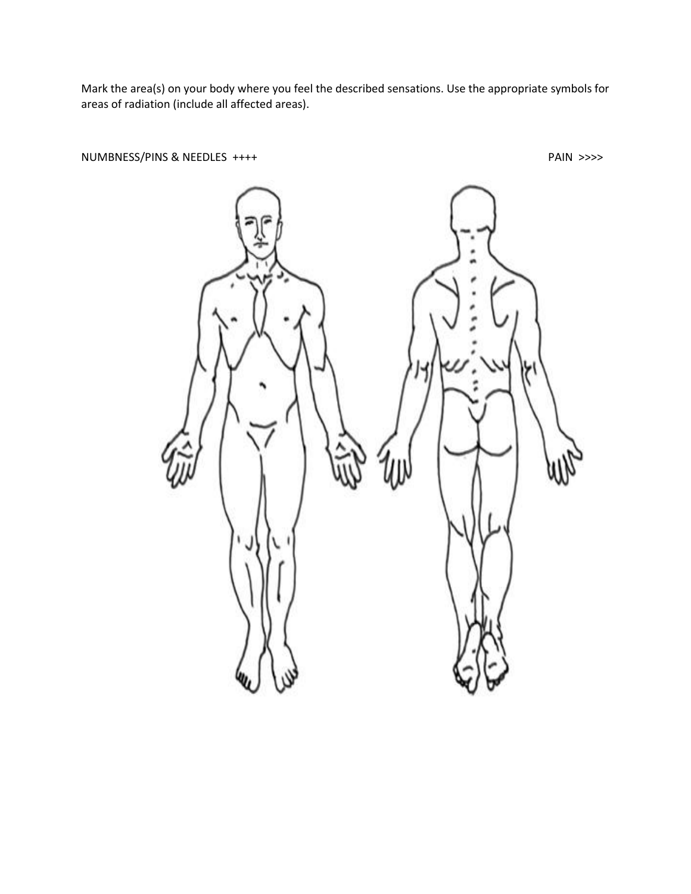Mark the area(s) on your body where you feel the described sensations. Use the appropriate symbols for areas of radiation (include all affected areas).